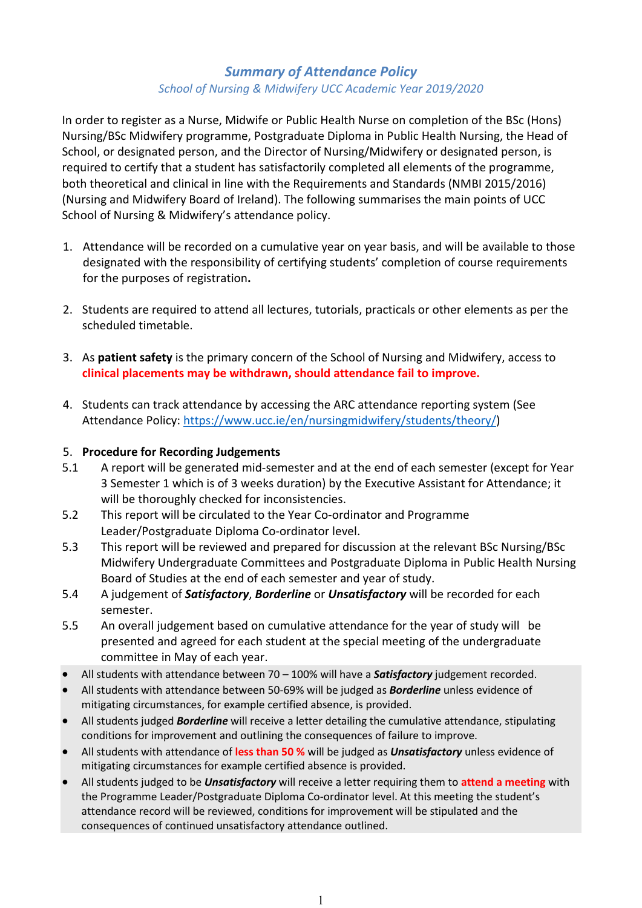# *Summary of Attendance Policy School of Nursing & Midwifery UCC Academic Year 2019/2020*

In order to register as a Nurse, Midwife or Public Health Nurse on completion of the BSc (Hons) Nursing/BSc Midwifery programme, Postgraduate Diploma in Public Health Nursing, the Head of School, or designated person, and the Director of Nursing/Midwifery or designated person, is required to certify that a student has satisfactorily completed all elements of the programme, both theoretical and clinical in line with the Requirements and Standards (NMBI 2015/2016) (Nursing and Midwifery Board of Ireland). The following summarises the main points of UCC School of Nursing & Midwifery's attendance policy.

- 1. Attendance will be recorded on a cumulative year on year basis, and will be available to those designated with the responsibility of certifying students' completion of course requirements for the purposes of registration**.**
- 2. Students are required to attend all lectures, tutorials, practicals or other elements as per the scheduled timetable.
- 3. As **patient safety** is the primary concern of the School of Nursing and Midwifery, access to **clinical placements may be withdrawn, should attendance fail to improve.**
- 4. Students can track attendance by accessing the ARC attendance reporting system (See Attendance Policy: [https://www.ucc.ie/en/nursingmidwifery/students/theory/\)](https://www.ucc.ie/en/nursingmidwifery/students/theory/)

### 5. **Procedure for Recording Judgements**

- 5.1 A report will be generated mid-semester and at the end of each semester (except for Year 3 Semester 1 which is of 3 weeks duration) by the Executive Assistant for Attendance; it will be thoroughly checked for inconsistencies.
- 5.2 This report will be circulated to the Year Co-ordinator and Programme Leader/Postgraduate Diploma Co-ordinator level.
- 5.3 This report will be reviewed and prepared for discussion at the relevant BSc Nursing/BSc Midwifery Undergraduate Committees and Postgraduate Diploma in Public Health Nursing Board of Studies at the end of each semester and year of study.
- 5.4 A judgement of *Satisfactory*, *Borderline* or *Unsatisfactory* will be recorded for each semester.
- 5.5 An overall judgement based on cumulative attendance for the year of study will be presented and agreed for each student at the special meeting of the undergraduate committee in May of each year.
- All students with attendance between 70 100% will have a *Satisfactory* judgement recorded.
- All students with attendance between 50-69% will be judged as *Borderline* unless evidence of mitigating circumstances, for example certified absence, is provided.
- All students judged *Borderline* will receive a letter detailing the cumulative attendance, stipulating conditions for improvement and outlining the consequences of failure to improve.
- All students with attendance of **less than 50 %** will be judged as *Unsatisfactory* unless evidence of mitigating circumstances for example certified absence is provided.
- All students judged to be *Unsatisfactory* will receive a letter requiring them to **attend a meeting** with the Programme Leader/Postgraduate Diploma Co-ordinator level. At this meeting the student's attendance record will be reviewed, conditions for improvement will be stipulated and the consequences of continued unsatisfactory attendance outlined.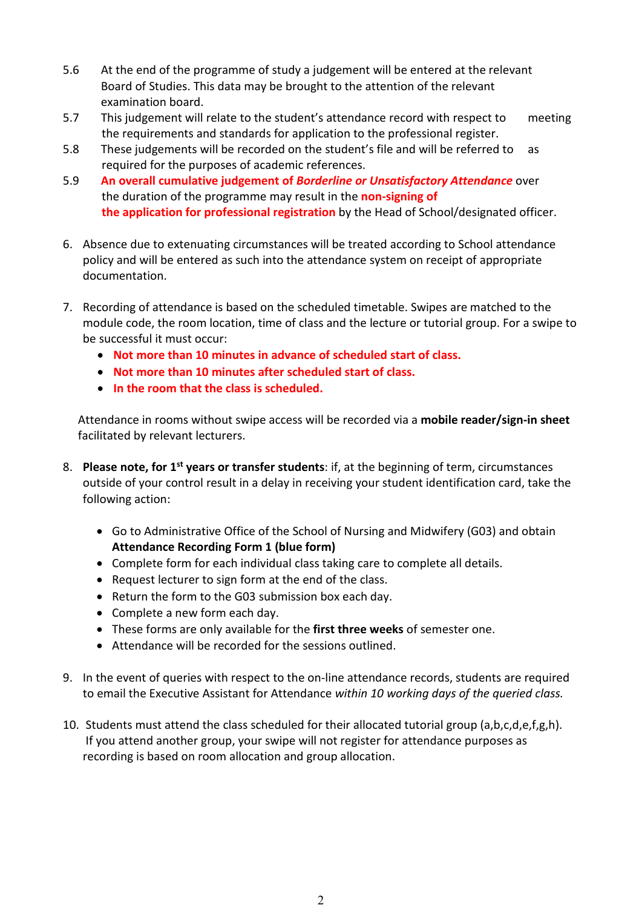- 5.6 At the end of the programme of study a judgement will be entered at the relevant Board of Studies. This data may be brought to the attention of the relevant examination board.
- 5.7 This judgement will relate to the student's attendance record with respect to meeting the requirements and standards for application to the professional register.
- 5.8 These judgements will be recorded on the student's file and will be referred to as required for the purposes of academic references.
- 5.9 **An overall cumulative judgement of** *Borderline or Unsatisfactory Attendance* over the duration of the programme may result in the **non-signing of the application for professional registration** by the Head of School/designated officer.
- 6. Absence due to extenuating circumstances will be treated according to School attendance policy and will be entered as such into the attendance system on receipt of appropriate documentation.
- 7. Recording of attendance is based on the scheduled timetable. Swipes are matched to the module code, the room location, time of class and the lecture or tutorial group. For a swipe to be successful it must occur:
	- **Not more than 10 minutes in advance of scheduled start of class.**
	- **Not more than 10 minutes after scheduled start of class.**
	- **In the room that the class is scheduled.**

Attendance in rooms without swipe access will be recorded via a **mobile reader/sign-in sheet** facilitated by relevant lecturers.

- 8. **Please note, for 1st years or transfer students**: if, at the beginning of term, circumstances outside of your control result in a delay in receiving your student identification card, take the following action:
	- Go to Administrative Office of the School of Nursing and Midwifery (G03) and obtain **Attendance Recording Form 1 (blue form)**
	- Complete form for each individual class taking care to complete all details.
	- Request lecturer to sign form at the end of the class.
	- Return the form to the G03 submission box each day.
	- Complete a new form each day.
	- These forms are only available for the **first three weeks** of semester one.
	- Attendance will be recorded for the sessions outlined.
- 9. In the event of queries with respect to the on-line attendance records, students are required to email the Executive Assistant for Attendance *within 10 working days of the queried class.*
- 10. Students must attend the class scheduled for their allocated tutorial group (a,b,c,d,e,f,g,h). If you attend another group, your swipe will not register for attendance purposes as recording is based on room allocation and group allocation.